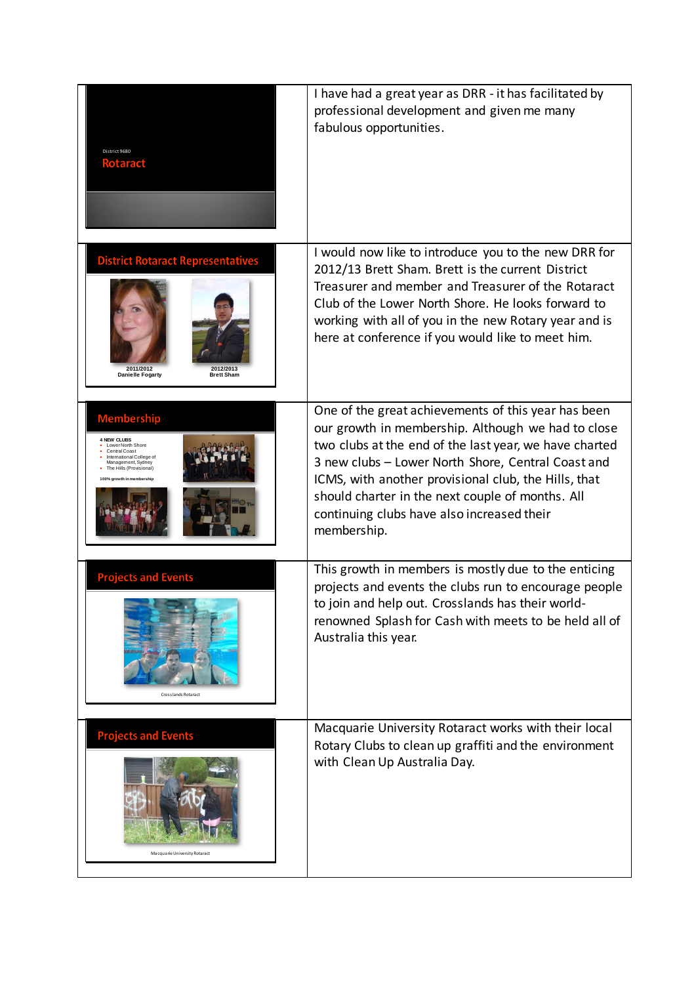| District 9680<br><b>Rotaract</b>                                                                                                                                                        | I have had a great year as DRR - it has facilitated by<br>professional development and given me many<br>fabulous opportunities.                                                                                                                                                                                                                                                                    |
|-----------------------------------------------------------------------------------------------------------------------------------------------------------------------------------------|----------------------------------------------------------------------------------------------------------------------------------------------------------------------------------------------------------------------------------------------------------------------------------------------------------------------------------------------------------------------------------------------------|
| <b>District Rotaract Representatives</b><br>2011/2012<br>2012/2013<br>Danielle Fogarty<br><b>Brett Sham</b>                                                                             | I would now like to introduce you to the new DRR for<br>2012/13 Brett Sham. Brett is the current District<br>Treasurer and member and Treasurer of the Rotaract<br>Club of the Lower North Shore. He looks forward to<br>working with all of you in the new Rotary year and is<br>here at conference if you would like to meet him.                                                                |
| <b>Membership</b><br><b>4 NEW CLUBS</b><br>Lower North Shore<br>Central Coast<br>International College of<br>Management, Sydney<br>The Hills (Provisional)<br>100% arowth in membership | One of the great achievements of this year has been<br>our growth in membership. Although we had to close<br>two clubs at the end of the last year, we have charted<br>3 new clubs - Lower North Shore, Central Coast and<br>ICMS, with another provisional club, the Hills, that<br>should charter in the next couple of months. All<br>continuing clubs have also increased their<br>membership. |
| <b>Projects and Events</b><br>Crosslands Rotaract                                                                                                                                       | This growth in members is mostly due to the enticing<br>projects and events the clubs run to encourage people<br>to join and help out. Crosslands has their world-<br>renowned Splash for Cash with meets to be held all of<br>Australia this year.                                                                                                                                                |
| <b>Projects and Events</b><br>Macquarie University Rotaract                                                                                                                             | Macquarie University Rotaract works with their local<br>Rotary Clubs to clean up graffiti and the environment<br>with Clean Up Australia Day.                                                                                                                                                                                                                                                      |